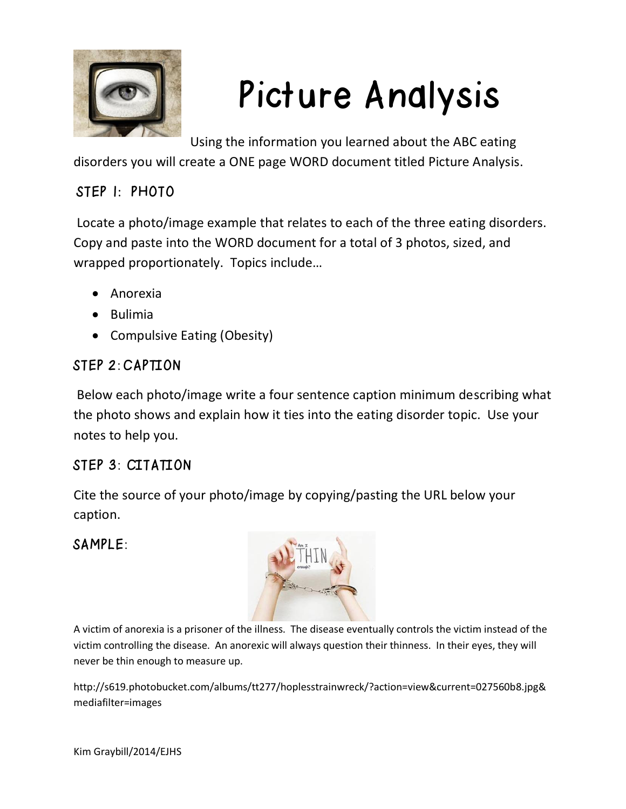

# Picture Analysis

Using the information you learned about the ABC eating

disorders you will create a ONE page WORD document titled Picture Analysis.

### STEP 1: PHOTO

Locate a photo/image example that relates to each of the three eating disorders. Copy and paste into the WORD document for a total of 3 photos, sized, and wrapped proportionately. Topics include…

- Anorexia
- Bulimia
- Compulsive Eating (Obesity)

#### STEP 2: CAPTION

Below each photo/image write a four sentence caption minimum describing what the photo shows and explain how it ties into the eating disorder topic. Use your notes to help you.

#### STEP 3: CITATION

Cite the source of your photo/image by copying/pasting the URL below your caption.

#### SAMPLE:



A victim of anorexia is a prisoner of the illness. The disease eventually controls the victim instead of the victim controlling the disease. An anorexic will always question their thinness. In their eyes, they will never be thin enough to measure up.

http://s619.photobucket.com/albums/tt277/hoplesstrainwreck/?action=view&current=027560b8.jpg& mediafilter=images